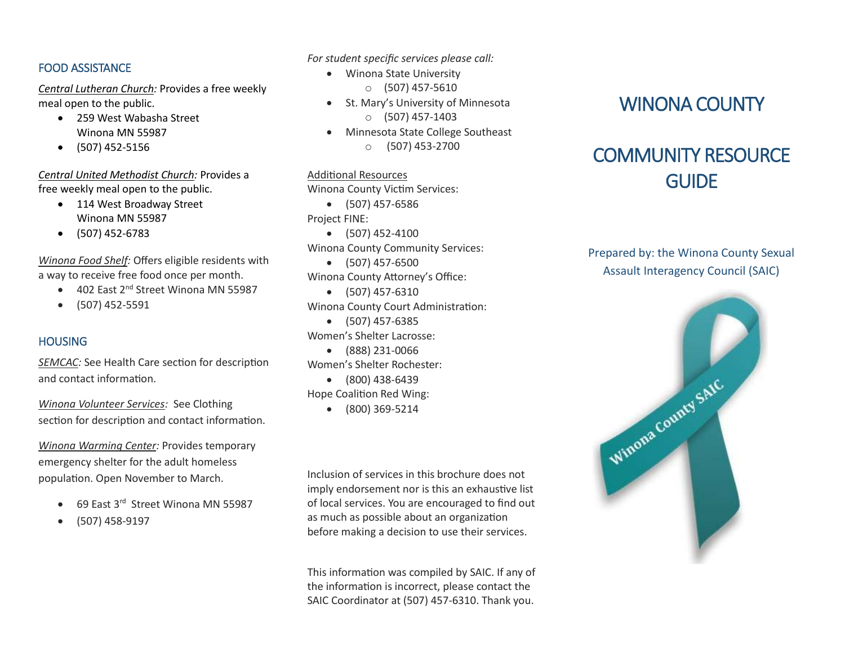#### FOOD ASSISTANCE

*Central Lutheran Church:* Provides a free weekly meal open to the public.

- 259 West Wabasha Street Winona MN 55987
- $\bullet$  (507) 452-5156

*Central United Methodist Church:* Provides a free weekly meal open to the public.

- 114 West Broadway Street Winona MN 55987
- (507) 452-6783

*Winona Food Shelf:* Offers eligible residents with a way to receive free food once per month.

- 402 East 2<sup>nd</sup> Street Winona MN 55987
- $\bullet$  (507) 452-5591

## **HOUSING**

*SEMCAC:* See Health Care section for description and contact information.

*Winona Volunteer Services:* See Clothing section for description and contact information.

*Winona Warming Center:* Provides temporary emergency shelter for the adult homeless population. Open November to March.

- 69 East 3<sup>rd</sup> Street Winona MN 55987
- (507) 458-9197

*For student specific services please call:* 

- Winona State University
	- o (507) 457-5610
- St. Mary's University of Minnesota
	- $O$  (507) 457-1403
- Minnesota State College Southeast
	- $\circ$  (507) 453-2700

Additional Resources Winona County Victim Services: (507) 457-6586

Project FINE:

- $\bullet$  (507) 452-4100 Winona County Community Services:
- (507) 457-6500 Winona County Attorney's Office:
- $\bullet$  (507) 457-6310 Winona County Court Administration: (507) 457-6385

Women's Shelter Lacrosse:

(888) 231-0066

Women's Shelter Rochester:

(800) 438-6439

Hope Coalition Red Wing:

 $(800) 369 - 5214$ 

Inclusion of services in this brochure does not imply endorsement nor is this an exhaustive list of local services. You are encouraged to find out as much as possible about an organization before making a decision to use their services.

This information was compiled by SAIC. If any of the information is incorrect, please contact the SAIC Coordinator at (507) 457-6310. Thank you.

# WINONA COUNTY

# COMMUNITY RESOURCE **GUIDE**

Prepared by: the Winona County Sexual Assault Interagency Council (SAIC)